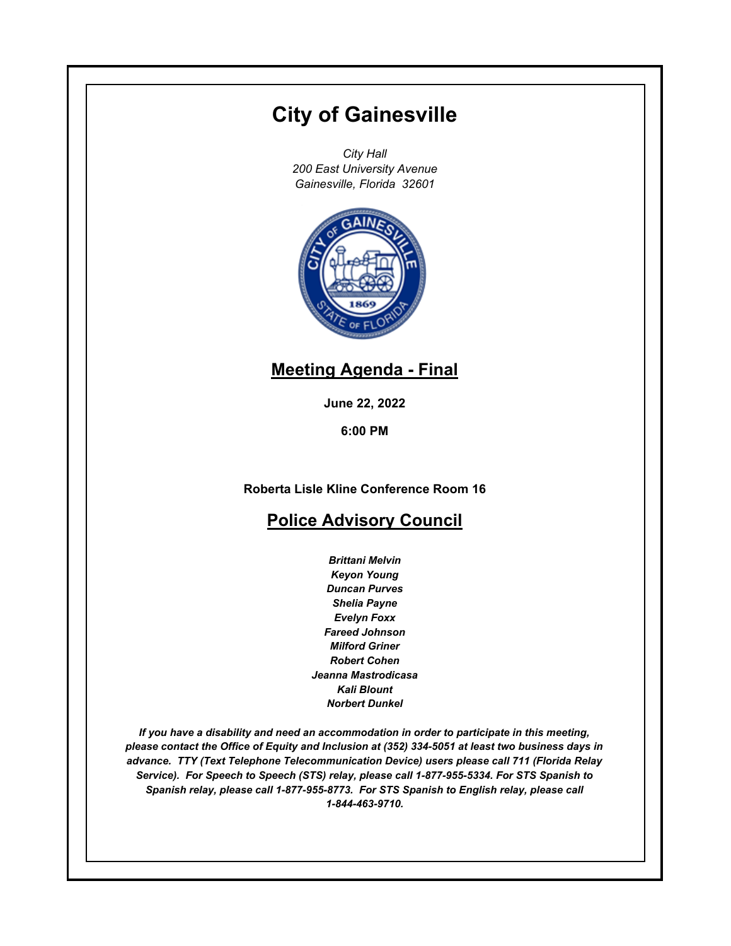# **City of Gainesville**

*City Hall 200 East University Avenue Gainesville, Florida 32601*



# **Meeting Agenda - Final**

**June 22, 2022**

**6:00 PM**

**Roberta Lisle Kline Conference Room 16**

# **Police Advisory Council**

*Brittani Melvin Keyon Young Duncan Purves Shelia Payne Evelyn Foxx Fareed Johnson Milford Griner Robert Cohen Jeanna Mastrodicasa Kali Blount Norbert Dunkel*

*If you have a disability and need an accommodation in order to participate in this meeting, please contact the Office of Equity and Inclusion at (352) 334-5051 at least two business days in advance. TTY (Text Telephone Telecommunication Device) users please call 711 (Florida Relay Service). For Speech to Speech (STS) relay, please call 1-877-955-5334. For STS Spanish to Spanish relay, please call 1-877-955-8773. For STS Spanish to English relay, please call 1-844-463-9710.*